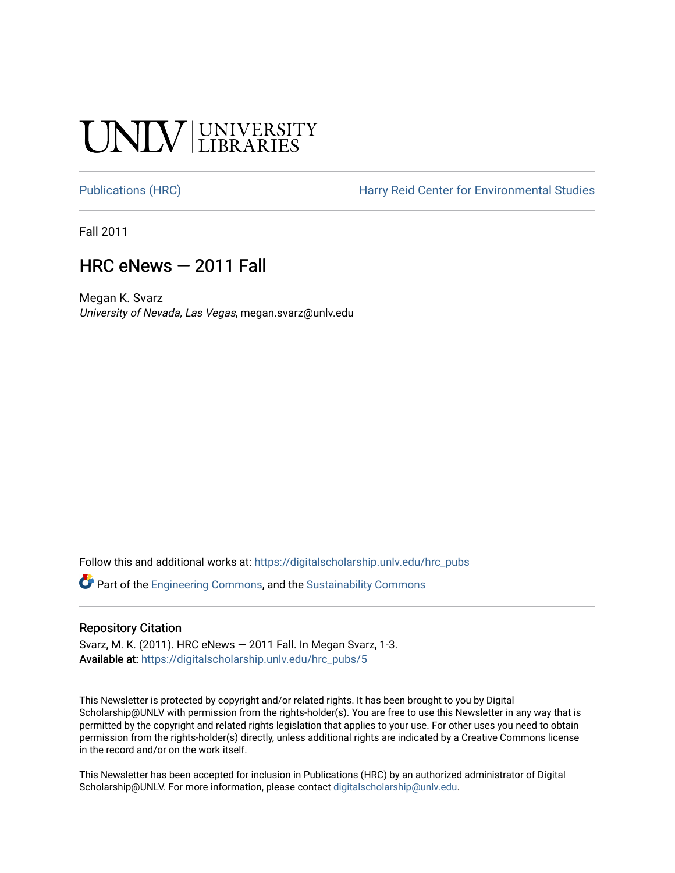## **CINITY UNIVERSITY**

[Publications \(HRC\)](https://digitalscholarship.unlv.edu/hrc_pubs) The Harry Reid Center for Environmental Studies

Fall 2011

### HRC eNews — 2011 Fall

Megan K. Svarz University of Nevada, Las Vegas, megan.svarz@unlv.edu

Follow this and additional works at: [https://digitalscholarship.unlv.edu/hrc\\_pubs](https://digitalscholarship.unlv.edu/hrc_pubs?utm_source=digitalscholarship.unlv.edu%2Fhrc_pubs%2F5&utm_medium=PDF&utm_campaign=PDFCoverPages)

Part of the [Engineering Commons](http://network.bepress.com/hgg/discipline/217?utm_source=digitalscholarship.unlv.edu%2Fhrc_pubs%2F5&utm_medium=PDF&utm_campaign=PDFCoverPages), and the [Sustainability Commons](http://network.bepress.com/hgg/discipline/1031?utm_source=digitalscholarship.unlv.edu%2Fhrc_pubs%2F5&utm_medium=PDF&utm_campaign=PDFCoverPages)

#### Repository Citation

Svarz, M. K. (2011). HRC eNews — 2011 Fall. In Megan Svarz, 1-3. Available at: [https://digitalscholarship.unlv.edu/hrc\\_pubs/5](https://digitalscholarship.unlv.edu/hrc_pubs/5)

This Newsletter is protected by copyright and/or related rights. It has been brought to you by Digital Scholarship@UNLV with permission from the rights-holder(s). You are free to use this Newsletter in any way that is permitted by the copyright and related rights legislation that applies to your use. For other uses you need to obtain permission from the rights-holder(s) directly, unless additional rights are indicated by a Creative Commons license in the record and/or on the work itself.

This Newsletter has been accepted for inclusion in Publications (HRC) by an authorized administrator of Digital Scholarship@UNLV. For more information, please contact [digitalscholarship@unlv.edu.](mailto:digitalscholarship@unlv.edu)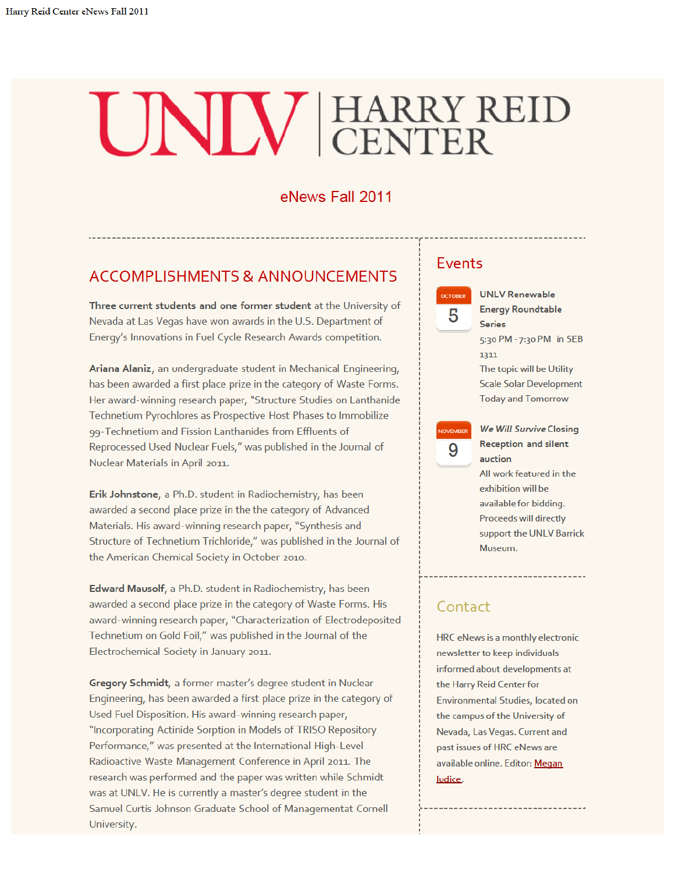# UNIV EARRY REID

#### eNews Fall 2011

### **ACCOMPLISHMENTS & ANNOUNCEMENTS**

Three current students and one former student at the University of Nevada at Las Vegas have won awards in the U.S. Department of Energy's Innovations in Fuel Cycle Research Awards competition.

Ariana Alaniz, an undergraduate student in Mechanical Engineering, has been awarded a first place prize in the category of Waste Forms. Her award-winning research paper, "Structure Studies on Lanthanide Technetium Pyrochlores as Prospective Host Phases to Immobilize 99-Technetium and Fission Lanthanides from Effluents of Reprocessed Used Nuclear Fuels," was published in the Journal of Nuclear Materials in April 2011.

Erik Johnstone, a Ph.D. student in Radiochemistry, has been awarded a second place prize in the the category of Advanced Materials. His award-winning research paper, "Synthesis and Structure of Technetium Trichloride," was published in the Journal of the American Chemical Society in October 2010.

Edward Mausolf, a Ph.D. student in Radiochemistry, has been awarded a second place prize in the category of Waste Forms. His award-winning research paper, "Characterization of Electrodeposited Technetium on Gold Foil," was published in the Journal of the Electrochemical Society in January 2011.

Gregory Schmidt, a former master's degree student in Nuclear Engineering, has been awarded a first place prize in the category of Used Fuel Disposition. His award-winning research paper, "Incorporating Actinide Sorption in Models of TRISO Repository Performance," was presented at the International High-Level Radioactive Waste Management Conference in April 2011. The research was performed and the paper was written while Schmidt was at UNLV. He is currently a master's degree student in the Samuel Curtis Johnson Graduate School of Managementat Cornell University.

#### **Events**



#### **UNLV Renewable Energy Roundtable Series** 5:30 PM - 7:30 PM in SEB

1311 The topic will be Utility **Scale Solar Development Today and Tomorrow** 



#### **We Will Survive Closing Reception and silent** auction

All work featured in the exhibition will be available for bidding. Proceeds will directly support the UNLV Barrick Museum.

#### Contact

HRC eNews is a monthly electronic newsletter to keep individuals informed about developments at the Harry Reid Center for Environmental Studies, located on the campus of the University of Nevada, Las Vegas. Current and past issues of HRC eNews are available online. Editor: Megan ludice.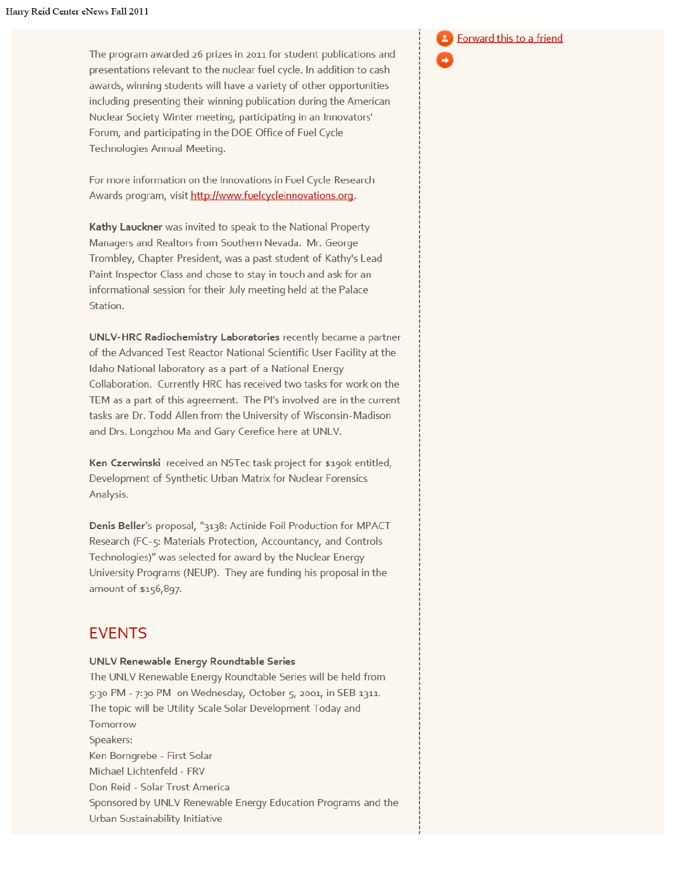The program awarded 26 prizes in 2011 for student publications and presentations relevant to the nuclear fuel cycle. In addition to cash awards, winning students will have a variety of other opportunities including presenting their winning publication during the American Nuclear Society Winter meeting, participating in an Innovators' Forum, and participating in the DOE Office of Fuel Cycle Technologies Annual Meeting.

For more information on the Innovations in Fuel Cycle Research Awards program, visit http://www.fuelcycleinnovations.org.

Kathy Lauckner was invited to speak to the National Property Managers and Realtors from Southern Nevada. Mr. George Trombley, Chapter President, was a past student of Kathy's Lead Paint Inspector Class and chose to stay in touch and ask for an informational session for their July meeting held at the Palace Station.

UNLV-HRC Radiochemistry Laboratories recently became a partner of the Advanced Test Reactor National Scientific User Facility at the Idaho National laboratory as a part of a National Energy Collaboration. Currently HRC has received two tasks for work on the TEM as a part of this agreement. The PI's involved are in the current tasks are Dr. Todd Allen from the University of Wisconsin-Madison and Drs. Longzhou Ma and Gary Cerefice here at UNLV.

Ken Czerwinski received an NSTec task project for \$190k entitled, Development of Synthetic Urban Matrix for Nuclear Forensics Analysis.

Denis Beller's proposal, "3138: Actinide Foil Production for MPACT Research (FC-5: Materials Protection, Accountancy, and Controls Technologies)" was selected for award by the Nuclear Energy University Programs (NEUP). They are funding his proposal in the amount of \$156,897.

#### **EVENTS**

#### **UNLV Renewable Energy Roundtable Series**

The UNLV Renewable Energy Roundtable Series will be held from 5:30 PM - 7:30 PM on Wednesday, October 5, 2001, in SEB 1311. The topic will be Utility Scale Solar Development Today and Tomorrow Speakers: Ken Borngrebe - First Solar Michael Lichtenfeld - FRV Don Reid - Solar Trust America Sponsored by UNLV Renewable Energy Education Programs and the Urban Sustainability Initiative

#### Forward this to a friend